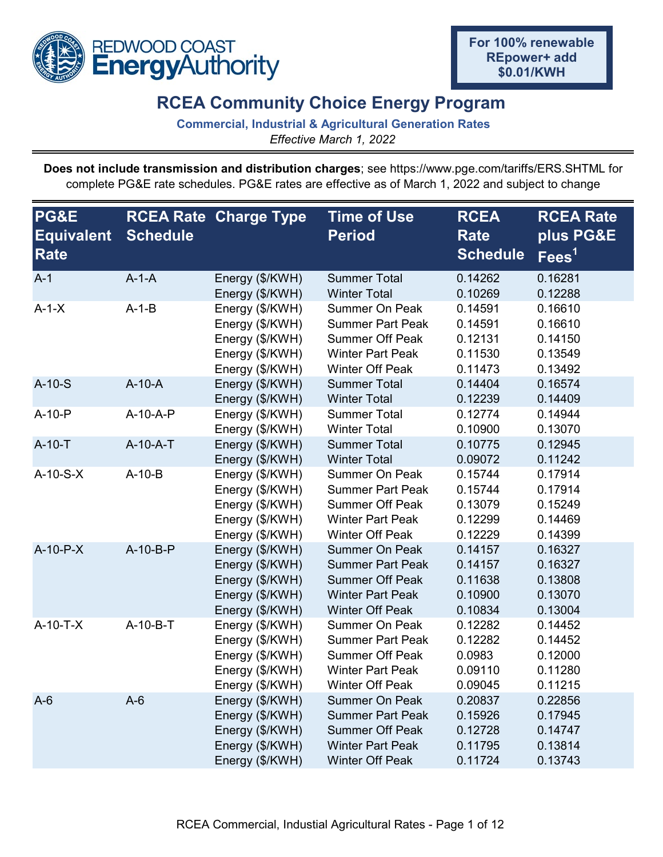

## **RCEA Community Choice Energy Program**

**Commercial, Industrial & Agricultural Generation Rates** *Effective March 1, 2022*

**Does not include transmission and distribution charges**; see https://www.pge.com/tariffs/ERS.SHTML for complete PG&E rate schedules. PG&E rates are effective as of March 1, 2022 and subject to change

| <b>PG&amp;E</b><br><b>Equivalent</b><br>Rate | <b>Schedule</b> | <b>RCEA Rate Charge Type</b>                                                                | <b>Time of Use</b><br><b>Period</b>                                                                                             | <b>RCEA</b><br><b>Rate</b><br><b>Schedule</b>       | <b>RCEA Rate</b><br>plus PG&E<br>$\overline{\mathsf{Fees}}^1$ |
|----------------------------------------------|-----------------|---------------------------------------------------------------------------------------------|---------------------------------------------------------------------------------------------------------------------------------|-----------------------------------------------------|---------------------------------------------------------------|
| $A-1$                                        | $A-1-A$         | Energy (\$/KWH)<br>Energy (\$/KWH)                                                          | <b>Summer Total</b><br><b>Winter Total</b>                                                                                      | 0.14262<br>0.10269                                  | 0.16281<br>0.12288                                            |
| $A-1-X$                                      | $A-1-B$         | Energy (\$/KWH)<br>Energy (\$/KWH)<br>Energy (\$/KWH)<br>Energy (\$/KWH)<br>Energy (\$/KWH) | <b>Summer On Peak</b><br><b>Summer Part Peak</b><br><b>Summer Off Peak</b><br><b>Winter Part Peak</b><br><b>Winter Off Peak</b> | 0.14591<br>0.14591<br>0.12131<br>0.11530<br>0.11473 | 0.16610<br>0.16610<br>0.14150<br>0.13549<br>0.13492           |
| $A-10-S$                                     | $A-10-A$        | Energy (\$/KWH)<br>Energy (\$/KWH)                                                          | <b>Summer Total</b><br><b>Winter Total</b>                                                                                      | 0.14404<br>0.12239                                  | 0.16574<br>0.14409                                            |
| $A-10-P$                                     | A-10-A-P        | Energy (\$/KWH)<br>Energy (\$/KWH)                                                          | <b>Summer Total</b><br><b>Winter Total</b>                                                                                      | 0.12774<br>0.10900                                  | 0.14944<br>0.13070                                            |
| $A-10-T$                                     | A-10-A-T        | Energy (\$/KWH)<br>Energy (\$/KWH)                                                          | <b>Summer Total</b><br><b>Winter Total</b>                                                                                      | 0.10775<br>0.09072                                  | 0.12945<br>0.11242                                            |
| $A-10-S-X$                                   | $A-10-B$        | Energy (\$/KWH)<br>Energy (\$/KWH)<br>Energy (\$/KWH)<br>Energy (\$/KWH)<br>Energy (\$/KWH) | <b>Summer On Peak</b><br><b>Summer Part Peak</b><br><b>Summer Off Peak</b><br><b>Winter Part Peak</b><br><b>Winter Off Peak</b> | 0.15744<br>0.15744<br>0.13079<br>0.12299<br>0.12229 | 0.17914<br>0.17914<br>0.15249<br>0.14469<br>0.14399           |
| $A-10-P-X$                                   | A-10-B-P        | Energy (\$/KWH)<br>Energy (\$/KWH)<br>Energy (\$/KWH)<br>Energy (\$/KWH)<br>Energy (\$/KWH) | <b>Summer On Peak</b><br><b>Summer Part Peak</b><br><b>Summer Off Peak</b><br><b>Winter Part Peak</b><br><b>Winter Off Peak</b> | 0.14157<br>0.14157<br>0.11638<br>0.10900<br>0.10834 | 0.16327<br>0.16327<br>0.13808<br>0.13070<br>0.13004           |
| $A-10-T-X$                                   | A-10-B-T        | Energy (\$/KWH)<br>Energy (\$/KWH)<br>Energy (\$/KWH)<br>Energy (\$/KWH)<br>Energy (\$/KWH) | <b>Summer On Peak</b><br><b>Summer Part Peak</b><br><b>Summer Off Peak</b><br><b>Winter Part Peak</b><br><b>Winter Off Peak</b> | 0.12282<br>0.12282<br>0.0983<br>0.09110<br>0.09045  | 0.14452<br>0.14452<br>0.12000<br>0.11280<br>0.11215           |
| $A-6$                                        | $A-6$           | Energy (\$/KWH)<br>Energy (\$/KWH)<br>Energy (\$/KWH)<br>Energy (\$/KWH)<br>Energy (\$/KWH) | <b>Summer On Peak</b><br><b>Summer Part Peak</b><br><b>Summer Off Peak</b><br><b>Winter Part Peak</b><br><b>Winter Off Peak</b> | 0.20837<br>0.15926<br>0.12728<br>0.11795<br>0.11724 | 0.22856<br>0.17945<br>0.14747<br>0.13814<br>0.13743           |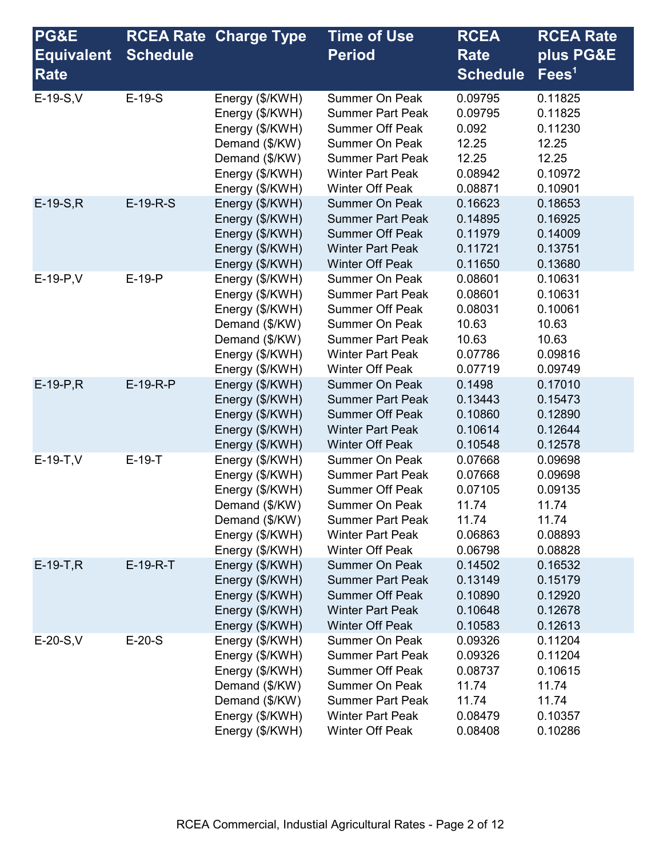| <b>PG&amp;E</b>   |                 | <b>RCEA Rate Charge Type</b>                                                                                                    | <b>Time of Use</b>                                                                                                                                                                  | <b>RCEA</b>                                                           | <b>RCEA Rate</b>                                                      |
|-------------------|-----------------|---------------------------------------------------------------------------------------------------------------------------------|-------------------------------------------------------------------------------------------------------------------------------------------------------------------------------------|-----------------------------------------------------------------------|-----------------------------------------------------------------------|
| <b>Equivalent</b> | <b>Schedule</b> |                                                                                                                                 | <b>Period</b>                                                                                                                                                                       | <b>Rate</b>                                                           | plus PG&E                                                             |
| Rate              |                 |                                                                                                                                 |                                                                                                                                                                                     | <b>Schedule</b>                                                       | $\text{Fees}^1$                                                       |
| $E-19-S, V$       | $E-19-S$        | Energy (\$/KWH)<br>Energy (\$/KWH)<br>Energy (\$/KWH)<br>Demand (\$/KW)<br>Demand (\$/KW)<br>Energy (\$/KWH)<br>Energy (\$/KWH) | Summer On Peak<br><b>Summer Part Peak</b><br><b>Summer Off Peak</b><br><b>Summer On Peak</b><br><b>Summer Part Peak</b><br><b>Winter Part Peak</b><br><b>Winter Off Peak</b>        | 0.09795<br>0.09795<br>0.092<br>12.25<br>12.25<br>0.08942<br>0.08871   | 0.11825<br>0.11825<br>0.11230<br>12.25<br>12.25<br>0.10972<br>0.10901 |
| $E-19-S,R$        | $E-19-R-S$      | Energy (\$/KWH)<br>Energy (\$/KWH)<br>Energy (\$/KWH)<br>Energy (\$/KWH)<br>Energy (\$/KWH)                                     | <b>Summer On Peak</b><br><b>Summer Part Peak</b><br><b>Summer Off Peak</b><br><b>Winter Part Peak</b><br><b>Winter Off Peak</b>                                                     | 0.16623<br>0.14895<br>0.11979<br>0.11721<br>0.11650                   | 0.18653<br>0.16925<br>0.14009<br>0.13751<br>0.13680                   |
| $E-19-P, V$       | $E-19-P$        | Energy (\$/KWH)<br>Energy (\$/KWH)<br>Energy (\$/KWH)<br>Demand (\$/KW)<br>Demand (\$/KW)<br>Energy (\$/KWH)<br>Energy (\$/KWH) | <b>Summer On Peak</b><br><b>Summer Part Peak</b><br><b>Summer Off Peak</b><br><b>Summer On Peak</b><br><b>Summer Part Peak</b><br><b>Winter Part Peak</b><br><b>Winter Off Peak</b> | 0.08601<br>0.08601<br>0.08031<br>10.63<br>10.63<br>0.07786<br>0.07719 | 0.10631<br>0.10631<br>0.10061<br>10.63<br>10.63<br>0.09816<br>0.09749 |
| $E-19-P, R$       | $E-19-R-P$      | Energy (\$/KWH)<br>Energy (\$/KWH)<br>Energy (\$/KWH)<br>Energy (\$/KWH)<br>Energy (\$/KWH)                                     | <b>Summer On Peak</b><br><b>Summer Part Peak</b><br><b>Summer Off Peak</b><br><b>Winter Part Peak</b><br><b>Winter Off Peak</b>                                                     | 0.1498<br>0.13443<br>0.10860<br>0.10614<br>0.10548                    | 0.17010<br>0.15473<br>0.12890<br>0.12644<br>0.12578                   |
| $E-19-T,V$        | $E-19-T$        | Energy (\$/KWH)<br>Energy (\$/KWH)<br>Energy (\$/KWH)<br>Demand (\$/KW)<br>Demand (\$/KW)<br>Energy (\$/KWH)<br>Energy (\$/KWH) | <b>Summer On Peak</b><br><b>Summer Part Peak</b><br><b>Summer Off Peak</b><br><b>Summer On Peak</b><br><b>Summer Part Peak</b><br><b>Winter Part Peak</b><br><b>Winter Off Peak</b> | 0.07668<br>0.07668<br>0.07105<br>11.74<br>11.74<br>0.06863<br>0.06798 | 0.09698<br>0.09698<br>0.09135<br>11.74<br>11.74<br>0.08893<br>0.08828 |
| $E-19-T, R$       | $E-19-R-T$      | Energy (\$/KWH)<br>Energy (\$/KWH)<br>Energy (\$/KWH)<br>Energy (\$/KWH)<br>Energy (\$/KWH)                                     | <b>Summer On Peak</b><br><b>Summer Part Peak</b><br><b>Summer Off Peak</b><br><b>Winter Part Peak</b><br><b>Winter Off Peak</b>                                                     | 0.14502<br>0.13149<br>0.10890<br>0.10648<br>0.10583                   | 0.16532<br>0.15179<br>0.12920<br>0.12678<br>0.12613                   |
| $E-20-S, V$       | $E-20-S$        | Energy (\$/KWH)<br>Energy (\$/KWH)<br>Energy (\$/KWH)<br>Demand (\$/KW)<br>Demand (\$/KW)<br>Energy (\$/KWH)<br>Energy (\$/KWH) | <b>Summer On Peak</b><br><b>Summer Part Peak</b><br><b>Summer Off Peak</b><br><b>Summer On Peak</b><br><b>Summer Part Peak</b><br><b>Winter Part Peak</b><br>Winter Off Peak        | 0.09326<br>0.09326<br>0.08737<br>11.74<br>11.74<br>0.08479<br>0.08408 | 0.11204<br>0.11204<br>0.10615<br>11.74<br>11.74<br>0.10357<br>0.10286 |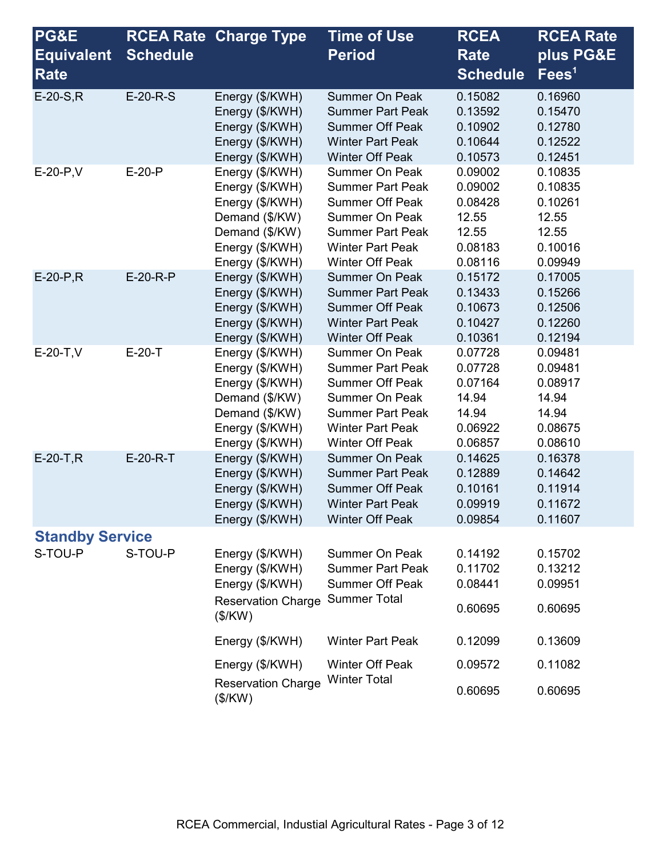| <b>PG&amp;E</b>        |                 | <b>RCEA Rate Charge Type</b>                                                                                                    | <b>Time of Use</b>                                                                                                                                                                  | <b>RCEA</b>                                                           | <b>RCEA Rate</b>                                                      |
|------------------------|-----------------|---------------------------------------------------------------------------------------------------------------------------------|-------------------------------------------------------------------------------------------------------------------------------------------------------------------------------------|-----------------------------------------------------------------------|-----------------------------------------------------------------------|
| <b>Equivalent</b>      | <b>Schedule</b> |                                                                                                                                 | <b>Period</b>                                                                                                                                                                       | <b>Rate</b>                                                           | plus PG&E                                                             |
| <b>Rate</b>            |                 |                                                                                                                                 |                                                                                                                                                                                     | <b>Schedule</b>                                                       | $\text{Fees}^1$                                                       |
| $E-20-S.R$             | $E-20-R-S$      | Energy (\$/KWH)<br>Energy (\$/KWH)<br>Energy (\$/KWH)<br>Energy (\$/KWH)<br>Energy (\$/KWH)                                     | <b>Summer On Peak</b><br><b>Summer Part Peak</b><br><b>Summer Off Peak</b><br><b>Winter Part Peak</b><br><b>Winter Off Peak</b>                                                     | 0.15082<br>0.13592<br>0.10902<br>0.10644<br>0.10573                   | 0.16960<br>0.15470<br>0.12780<br>0.12522<br>0.12451                   |
| $E-20-P,V$             | $E-20-P$        | Energy (\$/KWH)<br>Energy (\$/KWH)<br>Energy (\$/KWH)<br>Demand (\$/KW)<br>Demand (\$/KW)<br>Energy (\$/KWH)<br>Energy (\$/KWH) | <b>Summer On Peak</b><br><b>Summer Part Peak</b><br><b>Summer Off Peak</b><br><b>Summer On Peak</b><br><b>Summer Part Peak</b><br><b>Winter Part Peak</b><br><b>Winter Off Peak</b> | 0.09002<br>0.09002<br>0.08428<br>12.55<br>12.55<br>0.08183<br>0.08116 | 0.10835<br>0.10835<br>0.10261<br>12.55<br>12.55<br>0.10016<br>0.09949 |
| $E-20-P, R$            | E-20-R-P        | Energy (\$/KWH)<br>Energy (\$/KWH)<br>Energy (\$/KWH)<br>Energy (\$/KWH)<br>Energy (\$/KWH)                                     | <b>Summer On Peak</b><br><b>Summer Part Peak</b><br><b>Summer Off Peak</b><br><b>Winter Part Peak</b><br><b>Winter Off Peak</b>                                                     | 0.15172<br>0.13433<br>0.10673<br>0.10427<br>0.10361                   | 0.17005<br>0.15266<br>0.12506<br>0.12260<br>0.12194                   |
| $E-20-T, V$            | $E-20-T$        | Energy (\$/KWH)<br>Energy (\$/KWH)<br>Energy (\$/KWH)<br>Demand (\$/KW)<br>Demand (\$/KW)<br>Energy (\$/KWH)<br>Energy (\$/KWH) | <b>Summer On Peak</b><br><b>Summer Part Peak</b><br><b>Summer Off Peak</b><br><b>Summer On Peak</b><br><b>Summer Part Peak</b><br><b>Winter Part Peak</b><br><b>Winter Off Peak</b> | 0.07728<br>0.07728<br>0.07164<br>14.94<br>14.94<br>0.06922<br>0.06857 | 0.09481<br>0.09481<br>0.08917<br>14.94<br>14.94<br>0.08675<br>0.08610 |
| $E-20-T, R$            | $E-20-R-T$      | Energy (\$/KWH)<br>Energy (\$/KWH)<br>Energy (\$/KWH)<br>Energy (\$/KWH)<br>Energy (\$/KWH)                                     | <b>Summer On Peak</b><br><b>Summer Part Peak</b><br><b>Summer Off Peak</b><br><b>Winter Part Peak</b><br><b>Winter Off Peak</b>                                                     | 0.14625<br>0.12889<br>0.10161<br>0.09919<br>0.09854                   | 0.16378<br>0.14642<br>0.11914<br>0.11672<br>0.11607                   |
| <b>Standby Service</b> |                 |                                                                                                                                 |                                                                                                                                                                                     |                                                                       |                                                                       |
| S-TOU-P                | S-TOU-P         | Energy (\$/KWH)<br>Energy (\$/KWH)<br>Energy (\$/KWH)<br><b>Reservation Charge</b><br>(\$/KW)                                   | <b>Summer On Peak</b><br><b>Summer Part Peak</b><br><b>Summer Off Peak</b><br><b>Summer Total</b>                                                                                   | 0.14192<br>0.11702<br>0.08441<br>0.60695                              | 0.15702<br>0.13212<br>0.09951<br>0.60695                              |
|                        |                 | Energy (\$/KWH)                                                                                                                 | <b>Winter Part Peak</b>                                                                                                                                                             | 0.12099                                                               | 0.13609                                                               |
|                        |                 | Energy (\$/KWH)                                                                                                                 | <b>Winter Off Peak</b><br><b>Winter Total</b>                                                                                                                                       | 0.09572                                                               | 0.11082                                                               |
|                        |                 | <b>Reservation Charge</b><br>(\$/KW)                                                                                            |                                                                                                                                                                                     | 0.60695                                                               | 0.60695                                                               |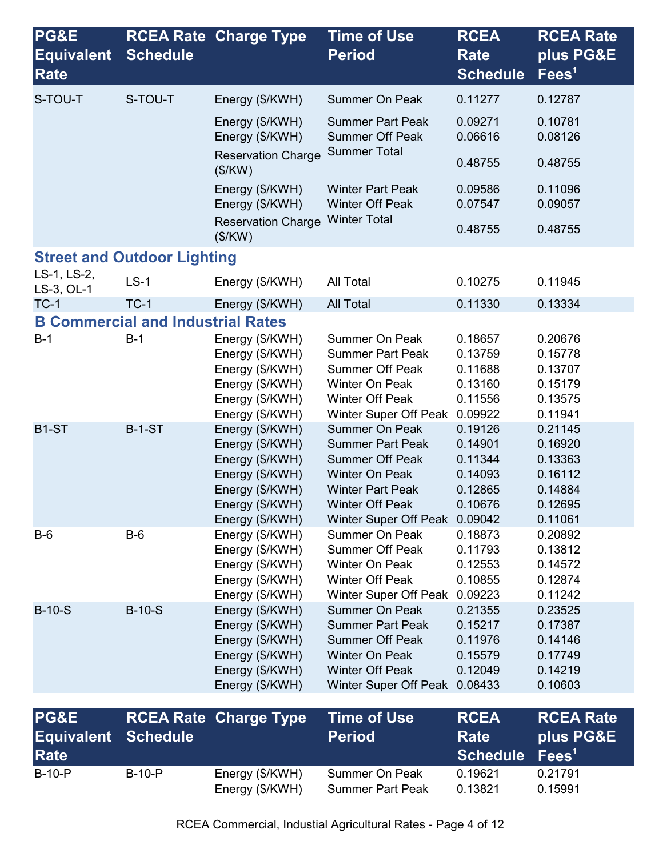| PG&E<br><b>Equivalent</b><br><b>Rate</b> | <b>Schedule</b>                          | <b>RCEA Rate Charge Type</b>         | <b>Time of Use</b><br><b>Period</b>                                      | <b>RCEA</b><br><b>Rate</b><br><b>Schedule</b> | <b>RCEA Rate</b><br>plus PG&E<br>$\text{Fees}^1$ |
|------------------------------------------|------------------------------------------|--------------------------------------|--------------------------------------------------------------------------|-----------------------------------------------|--------------------------------------------------|
| S-TOU-T                                  | S-TOU-T                                  | Energy (\$/KWH)                      | <b>Summer On Peak</b>                                                    | 0.11277                                       | 0.12787                                          |
|                                          |                                          | Energy (\$/KWH)<br>Energy (\$/KWH)   | <b>Summer Part Peak</b><br><b>Summer Off Peak</b><br><b>Summer Total</b> | 0.09271<br>0.06616                            | 0.10781<br>0.08126                               |
|                                          |                                          | <b>Reservation Charge</b><br>(\$/KW) |                                                                          | 0.48755                                       | 0.48755                                          |
|                                          |                                          | Energy (\$/KWH)<br>Energy (\$/KWH)   | <b>Winter Part Peak</b><br><b>Winter Off Peak</b><br><b>Winter Total</b> | 0.09586<br>0.07547                            | 0.11096<br>0.09057                               |
|                                          |                                          | <b>Reservation Charge</b><br>(\$/KW) |                                                                          | 0.48755                                       | 0.48755                                          |
| <b>Street and Outdoor Lighting</b>       |                                          |                                      |                                                                          |                                               |                                                  |
| LS-1, LS-2,<br>LS-3, OL-1                | $LS-1$                                   | Energy (\$/KWH)                      | <b>All Total</b>                                                         | 0.10275                                       | 0.11945                                          |
| $TC-1$                                   | $TC-1$                                   | Energy (\$/KWH)                      | <b>All Total</b>                                                         | 0.11330                                       | 0.13334                                          |
|                                          | <b>B Commercial and Industrial Rates</b> |                                      |                                                                          |                                               |                                                  |
| $B-1$                                    | $B-1$                                    | Energy (\$/KWH)                      | <b>Summer On Peak</b>                                                    | 0.18657                                       | 0.20676                                          |
|                                          |                                          | Energy (\$/KWH)                      | <b>Summer Part Peak</b>                                                  | 0.13759                                       | 0.15778                                          |
|                                          |                                          | Energy (\$/KWH)                      | <b>Summer Off Peak</b>                                                   | 0.11688                                       | 0.13707                                          |
|                                          |                                          | Energy (\$/KWH)                      | Winter On Peak                                                           | 0.13160                                       | 0.15179                                          |
|                                          |                                          | Energy (\$/KWH)                      | <b>Winter Off Peak</b>                                                   | 0.11556                                       | 0.13575                                          |
|                                          |                                          | Energy (\$/KWH)                      | Winter Super Off Peak                                                    | 0.09922                                       | 0.11941                                          |
| B <sub>1</sub> -ST                       | <b>B-1-ST</b>                            | Energy (\$/KWH)                      | <b>Summer On Peak</b>                                                    | 0.19126                                       | 0.21145                                          |
|                                          |                                          | Energy (\$/KWH)                      | <b>Summer Part Peak</b>                                                  | 0.14901                                       | 0.16920                                          |
|                                          |                                          | Energy (\$/KWH)                      | <b>Summer Off Peak</b>                                                   | 0.11344                                       | 0.13363                                          |
|                                          |                                          | Energy (\$/KWH)                      | <b>Winter On Peak</b>                                                    | 0.14093                                       | 0.16112                                          |
|                                          |                                          | Energy (\$/KWH)                      | <b>Winter Part Peak</b>                                                  | 0.12865                                       | 0.14884                                          |
|                                          |                                          | Energy (\$/KWH)                      | <b>Winter Off Peak</b>                                                   | 0.10676                                       | 0.12695                                          |
|                                          |                                          | Energy (\$/KWH)                      | Winter Super Off Peak 0.09042                                            |                                               | 0.11061                                          |
| $B-6$                                    | $B-6$                                    | Energy (\$/KWH)                      | <b>Summer On Peak</b>                                                    | 0.18873                                       | 0.20892                                          |
|                                          |                                          | Energy (\$/KWH)                      | <b>Summer Off Peak</b>                                                   | 0.11793                                       | 0.13812                                          |
|                                          |                                          | Energy (\$/KWH)                      | Winter On Peak                                                           | 0.12553                                       | 0.14572                                          |
|                                          |                                          | Energy (\$/KWH)                      | <b>Winter Off Peak</b>                                                   | 0.10855                                       | 0.12874                                          |
|                                          |                                          | Energy (\$/KWH)                      | <b>Winter Super Off Peak</b>                                             | 0.09223                                       | 0.11242                                          |
| $B-10-S$                                 | $B-10-S$                                 | Energy (\$/KWH)                      | <b>Summer On Peak</b>                                                    | 0.21355                                       | 0.23525                                          |
|                                          |                                          | Energy (\$/KWH)                      | <b>Summer Part Peak</b>                                                  | 0.15217                                       | 0.17387                                          |
|                                          |                                          | Energy (\$/KWH)                      | <b>Summer Off Peak</b>                                                   | 0.11976                                       | 0.14146                                          |
|                                          |                                          | Energy (\$/KWH)                      | <b>Winter On Peak</b>                                                    | 0.15579                                       | 0.17749                                          |
|                                          |                                          | Energy (\$/KWH)                      | <b>Winter Off Peak</b>                                                   | 0.12049                                       | 0.14219                                          |
|                                          |                                          | Energy (\$/KWH)                      | Winter Super Off Peak                                                    | 0.08433                                       | 0.10603                                          |
| <b>PG&amp;E</b>                          | <b>RCEA Rate</b>                         | <b>Charge Type</b>                   | <b>Time of Use</b>                                                       | <b>RCEA</b>                                   | <b>RCEA Rate</b>                                 |
| <b>Equivalent</b>                        | <b>Schedule</b>                          |                                      | <b>Period</b>                                                            | <b>Rate</b>                                   | plus PG&E                                        |
| Rate                                     |                                          |                                      |                                                                          | <b>Schedule</b>                               | $\text{Fees}^1$                                  |
| $B-10-P$                                 | $B-10-P$                                 | Energy (\$/KWH)<br>Energy (\$/KWH)   | Summer On Peak<br><b>Summer Part Peak</b>                                | 0.19621<br>0.13821                            | 0.21791<br>0.15991                               |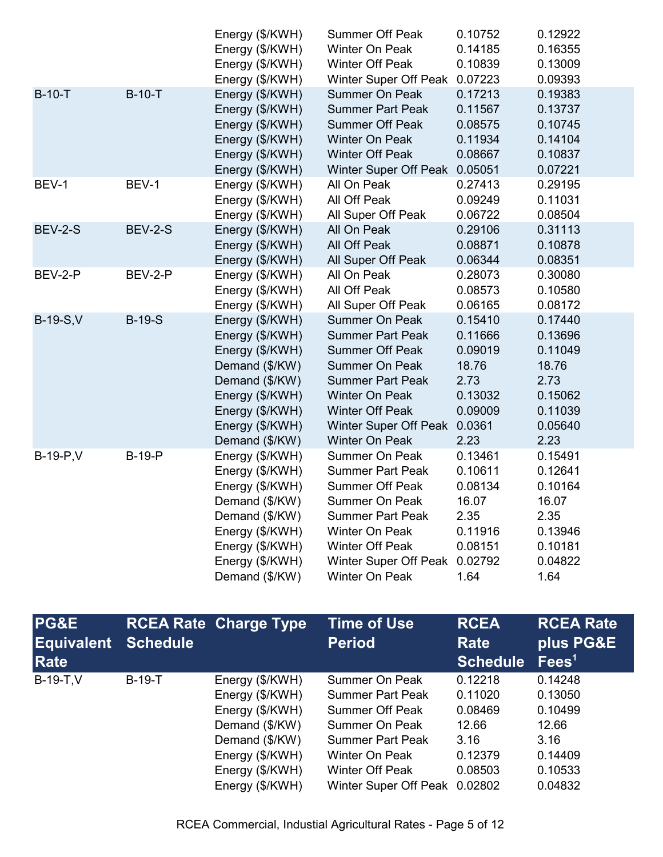|                  |                | Energy (\$/KWH) | <b>Summer Off Peak</b>        | 0.10752 | 0.12922 |
|------------------|----------------|-----------------|-------------------------------|---------|---------|
|                  |                | Energy (\$/KWH) | <b>Winter On Peak</b>         | 0.14185 | 0.16355 |
|                  |                | Energy (\$/KWH) | <b>Winter Off Peak</b>        | 0.10839 | 0.13009 |
|                  |                | Energy (\$/KWH) | Winter Super Off Peak 0.07223 |         | 0.09393 |
| $B-10-T$         | $B-10-T$       | Energy (\$/KWH) | <b>Summer On Peak</b>         | 0.17213 | 0.19383 |
|                  |                | Energy (\$/KWH) | <b>Summer Part Peak</b>       | 0.11567 | 0.13737 |
|                  |                | Energy (\$/KWH) | <b>Summer Off Peak</b>        | 0.08575 | 0.10745 |
|                  |                | Energy (\$/KWH) | <b>Winter On Peak</b>         | 0.11934 | 0.14104 |
|                  |                | Energy (\$/KWH) | <b>Winter Off Peak</b>        | 0.08667 | 0.10837 |
|                  |                | Energy (\$/KWH) | Winter Super Off Peak 0.05051 |         | 0.07221 |
| BEV-1            | BEV-1          | Energy (\$/KWH) | All On Peak                   | 0.27413 | 0.29195 |
|                  |                | Energy (\$/KWH) | All Off Peak                  | 0.09249 | 0.11031 |
|                  |                | Energy (\$/KWH) | All Super Off Peak            | 0.06722 | 0.08504 |
| <b>BEV-2-S</b>   | <b>BEV-2-S</b> | Energy (\$/KWH) | All On Peak                   | 0.29106 | 0.31113 |
|                  |                | Energy (\$/KWH) | All Off Peak                  | 0.08871 | 0.10878 |
|                  |                | Energy (\$/KWH) | All Super Off Peak            | 0.06344 | 0.08351 |
| BEV-2-P          | BEV-2-P        | Energy (\$/KWH) | All On Peak                   | 0.28073 | 0.30080 |
|                  |                | Energy (\$/KWH) | All Off Peak                  | 0.08573 | 0.10580 |
|                  |                | Energy (\$/KWH) | All Super Off Peak            | 0.06165 | 0.08172 |
| <b>B-19-S, V</b> | $B-19-S$       | Energy (\$/KWH) | <b>Summer On Peak</b>         | 0.15410 | 0.17440 |
|                  |                | Energy (\$/KWH) | <b>Summer Part Peak</b>       | 0.11666 | 0.13696 |
|                  |                | Energy (\$/KWH) | <b>Summer Off Peak</b>        | 0.09019 | 0.11049 |
|                  |                | Demand (\$/KW)  | <b>Summer On Peak</b>         | 18.76   | 18.76   |
|                  |                | Demand (\$/KW)  | <b>Summer Part Peak</b>       | 2.73    | 2.73    |
|                  |                | Energy (\$/KWH) | <b>Winter On Peak</b>         | 0.13032 | 0.15062 |
|                  |                | Energy (\$/KWH) | <b>Winter Off Peak</b>        | 0.09009 | 0.11039 |
|                  |                | Energy (\$/KWH) | Winter Super Off Peak         | 0.0361  | 0.05640 |
|                  |                | Demand (\$/KW)  | <b>Winter On Peak</b>         | 2.23    | 2.23    |
| $B-19-P,V$       | <b>B-19-P</b>  | Energy (\$/KWH) | Summer On Peak                | 0.13461 | 0.15491 |
|                  |                | Energy (\$/KWH) | <b>Summer Part Peak</b>       | 0.10611 | 0.12641 |
|                  |                | Energy (\$/KWH) | <b>Summer Off Peak</b>        | 0.08134 | 0.10164 |
|                  |                | Demand (\$/KW)  | Summer On Peak                | 16.07   | 16.07   |
|                  |                | Demand (\$/KW)  | <b>Summer Part Peak</b>       | 2.35    | 2.35    |
|                  |                | Energy (\$/KWH) | Winter On Peak                | 0.11916 | 0.13946 |
|                  |                | Energy (\$/KWH) | <b>Winter Off Peak</b>        | 0.08151 | 0.10181 |
|                  |                | Energy (\$/KWH) | Winter Super Off Peak         | 0.02792 | 0.04822 |
|                  |                | Demand (\$/KW)  | <b>Winter On Peak</b>         | 1.64    | 1.64    |

| <b>PG&amp;E</b><br><b>Equivalent</b><br>Rate | <b>Schedule</b> | <b>RCEA Rate Charge Type</b> | <b>Time of Use</b><br><b>Period</b> | <b>RCEA</b><br><b>Rate</b><br><b>Schedule</b> | <b>RCEA Rate</b><br>plus PG&E<br>Fees <sup>1</sup> |
|----------------------------------------------|-----------------|------------------------------|-------------------------------------|-----------------------------------------------|----------------------------------------------------|
| $B-19-T, V$                                  | $B-19-T$        | Energy (\$/KWH)              | Summer On Peak                      | 0.12218                                       | 0.14248                                            |
|                                              |                 | Energy (\$/KWH)              | <b>Summer Part Peak</b>             | 0.11020                                       | 0.13050                                            |
|                                              |                 | Energy (\$/KWH)              | <b>Summer Off Peak</b>              | 0.08469                                       | 0.10499                                            |
|                                              |                 | Demand (\$/KW)               | Summer On Peak                      | 12.66                                         | 12.66                                              |
|                                              |                 | Demand (\$/KW)               | <b>Summer Part Peak</b>             | 3.16                                          | 3.16                                               |
|                                              |                 | Energy (\$/KWH)              | Winter On Peak                      | 0.12379                                       | 0.14409                                            |
|                                              |                 | Energy (\$/KWH)              | <b>Winter Off Peak</b>              | 0.08503                                       | 0.10533                                            |
|                                              |                 | Energy (\$/KWH)              | Winter Super Off Peak 0.02802       |                                               | 0.04832                                            |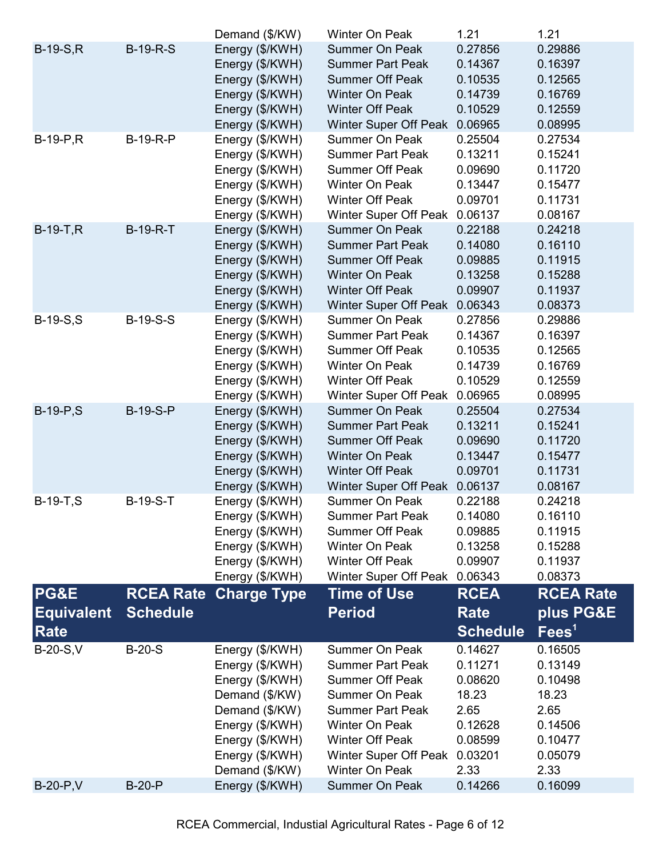|                   |                  | Demand (\$/KW)     | Winter On Peak               | 1.21            | 1.21             |
|-------------------|------------------|--------------------|------------------------------|-----------------|------------------|
| $B-19-S,R$        | <b>B-19-R-S</b>  | Energy (\$/KWH)    | <b>Summer On Peak</b>        | 0.27856         | 0.29886          |
|                   |                  | Energy (\$/KWH)    | <b>Summer Part Peak</b>      | 0.14367         | 0.16397          |
|                   |                  | Energy (\$/KWH)    | <b>Summer Off Peak</b>       | 0.10535         | 0.12565          |
|                   |                  | Energy (\$/KWH)    | <b>Winter On Peak</b>        | 0.14739         | 0.16769          |
|                   |                  | Energy (\$/KWH)    | <b>Winter Off Peak</b>       | 0.10529         | 0.12559          |
|                   |                  | Energy (\$/KWH)    | Winter Super Off Peak        | 0.06965         | 0.08995          |
| $B-19-P, R$       | <b>B-19-R-P</b>  | Energy (\$/KWH)    | <b>Summer On Peak</b>        | 0.25504         | 0.27534          |
|                   |                  | Energy (\$/KWH)    | <b>Summer Part Peak</b>      | 0.13211         | 0.15241          |
|                   |                  | Energy (\$/KWH)    | <b>Summer Off Peak</b>       | 0.09690         | 0.11720          |
|                   |                  | Energy (\$/KWH)    | Winter On Peak               | 0.13447         | 0.15477          |
|                   |                  | Energy (\$/KWH)    | <b>Winter Off Peak</b>       | 0.09701         | 0.11731          |
|                   |                  | Energy (\$/KWH)    | <b>Winter Super Off Peak</b> | 0.06137         | 0.08167          |
| $B-19-T, R$       | <b>B-19-R-T</b>  | Energy (\$/KWH)    | <b>Summer On Peak</b>        | 0.22188         | 0.24218          |
|                   |                  | Energy (\$/KWH)    | <b>Summer Part Peak</b>      | 0.14080         | 0.16110          |
|                   |                  | Energy (\$/KWH)    | <b>Summer Off Peak</b>       | 0.09885         | 0.11915          |
|                   |                  | Energy (\$/KWH)    | <b>Winter On Peak</b>        | 0.13258         | 0.15288          |
|                   |                  | Energy (\$/KWH)    | <b>Winter Off Peak</b>       | 0.09907         | 0.11937          |
|                   |                  | Energy (\$/KWH)    | Winter Super Off Peak        | 0.06343         | 0.08373          |
| $B-19-S, S$       | <b>B-19-S-S</b>  | Energy (\$/KWH)    | <b>Summer On Peak</b>        | 0.27856         | 0.29886          |
|                   |                  | Energy (\$/KWH)    | <b>Summer Part Peak</b>      | 0.14367         | 0.16397          |
|                   |                  | Energy (\$/KWH)    | <b>Summer Off Peak</b>       | 0.10535         | 0.12565          |
|                   |                  | Energy (\$/KWH)    | Winter On Peak               | 0.14739         | 0.16769          |
|                   |                  | Energy (\$/KWH)    | <b>Winter Off Peak</b>       | 0.10529         | 0.12559          |
|                   |                  | Energy (\$/KWH)    | Winter Super Off Peak        | 0.06965         | 0.08995          |
| $B-19-P, S$       | <b>B-19-S-P</b>  | Energy (\$/KWH)    | <b>Summer On Peak</b>        | 0.25504         | 0.27534          |
|                   |                  | Energy (\$/KWH)    | <b>Summer Part Peak</b>      | 0.13211         | 0.15241          |
|                   |                  | Energy (\$/KWH)    | <b>Summer Off Peak</b>       | 0.09690         | 0.11720          |
|                   |                  | Energy (\$/KWH)    | <b>Winter On Peak</b>        | 0.13447         | 0.15477          |
|                   |                  | Energy (\$/KWH)    | <b>Winter Off Peak</b>       | 0.09701         | 0.11731          |
|                   |                  | Energy (\$/KWH)    | Winter Super Off Peak        | 0.06137         | 0.08167          |
| $B-19-T, S$       | <b>B-19-S-T</b>  | Energy (\$/KWH)    | Summer On Peak               | 0.22188         | 0.24218          |
|                   |                  | Energy (\$/KWH)    | <b>Summer Part Peak</b>      | 0.14080         | 0.16110          |
|                   |                  | Energy (\$/KWH)    | <b>Summer Off Peak</b>       | 0.09885         | 0.11915          |
|                   |                  | Energy (\$/KWH)    | Winter On Peak               | 0.13258         | 0.15288          |
|                   |                  | Energy (\$/KWH)    | <b>Winter Off Peak</b>       | 0.09907         | 0.11937          |
|                   |                  | Energy (\$/KWH)    | Winter Super Off Peak        | 0.06343         | 0.08373          |
| <b>PG&amp;E</b>   | <b>RCEA Rate</b> | <b>Charge Type</b> | <b>Time of Use</b>           | <b>RCEA</b>     | <b>RCEA Rate</b> |
| <b>Equivalent</b> | <b>Schedule</b>  |                    | <b>Period</b>                | <b>Rate</b>     | plus PG&E        |
|                   |                  |                    |                              |                 |                  |
| Rate              |                  |                    |                              | <b>Schedule</b> | $\text{Fees}^1$  |
| $B-20-S,V$        | $B-20-S$         | Energy (\$/KWH)    | <b>Summer On Peak</b>        | 0.14627         | 0.16505          |
|                   |                  | Energy (\$/KWH)    | <b>Summer Part Peak</b>      | 0.11271         | 0.13149          |
|                   |                  | Energy (\$/KWH)    | <b>Summer Off Peak</b>       | 0.08620         | 0.10498          |
|                   |                  | Demand (\$/KW)     | <b>Summer On Peak</b>        | 18.23           | 18.23            |
|                   |                  | Demand (\$/KW)     | <b>Summer Part Peak</b>      | 2.65            | 2.65             |
|                   |                  | Energy (\$/KWH)    | <b>Winter On Peak</b>        | 0.12628         | 0.14506          |
|                   |                  | Energy (\$/KWH)    | <b>Winter Off Peak</b>       | 0.08599         | 0.10477          |
|                   |                  | Energy (\$/KWH)    | <b>Winter Super Off Peak</b> | 0.03201         | 0.05079          |
|                   |                  | Demand (\$/KW)     | <b>Winter On Peak</b>        | 2.33            | 2.33             |
| <b>B-20-P,V</b>   | $B-20-P$         | Energy (\$/KWH)    | Summer On Peak               | 0.14266         | 0.16099          |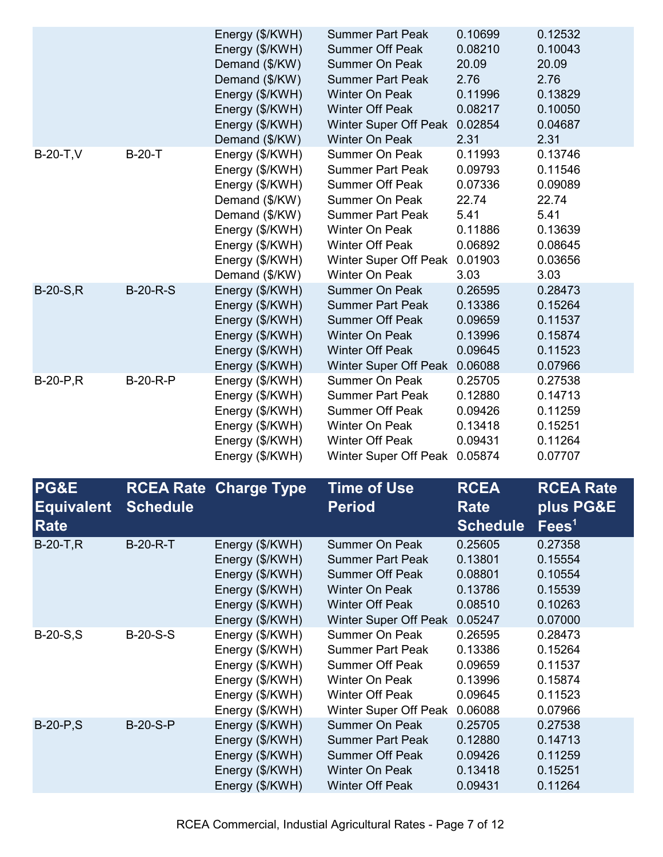|             |                 | Energy (\$/KWH)<br>Energy (\$/KWH)<br>Demand (\$/KW)<br>Demand (\$/KW)<br>Energy (\$/KWH)<br>Energy (\$/KWH)<br>Energy (\$/KWH)<br>Demand (\$/KW)                    | <b>Summer Part Peak</b><br><b>Summer Off Peak</b><br><b>Summer On Peak</b><br><b>Summer Part Peak</b><br><b>Winter On Peak</b><br><b>Winter Off Peak</b><br><b>Winter Super Off Peak</b><br><b>Winter On Peak</b>                   | 0.10699<br>0.08210<br>20.09<br>2.76<br>0.11996<br>0.08217<br>0.02854<br>2.31            | 0.12532<br>0.10043<br>20.09<br>2.76<br>0.13829<br>0.10050<br>0.04687<br>2.31            |
|-------------|-----------------|----------------------------------------------------------------------------------------------------------------------------------------------------------------------|-------------------------------------------------------------------------------------------------------------------------------------------------------------------------------------------------------------------------------------|-----------------------------------------------------------------------------------------|-----------------------------------------------------------------------------------------|
| $B-20-T,V$  | $B-20-T$        | Energy (\$/KWH)<br>Energy (\$/KWH)<br>Energy (\$/KWH)<br>Demand (\$/KW)<br>Demand (\$/KW)<br>Energy (\$/KWH)<br>Energy (\$/KWH)<br>Energy (\$/KWH)<br>Demand (\$/KW) | <b>Summer On Peak</b><br><b>Summer Part Peak</b><br><b>Summer Off Peak</b><br><b>Summer On Peak</b><br><b>Summer Part Peak</b><br><b>Winter On Peak</b><br><b>Winter Off Peak</b><br><b>Winter Super Off Peak</b><br>Winter On Peak | 0.11993<br>0.09793<br>0.07336<br>22.74<br>5.41<br>0.11886<br>0.06892<br>0.01903<br>3.03 | 0.13746<br>0.11546<br>0.09089<br>22.74<br>5.41<br>0.13639<br>0.08645<br>0.03656<br>3.03 |
| $B-20-S.R$  | $B-20-R-S$      | Energy (\$/KWH)<br>Energy (\$/KWH)<br>Energy (\$/KWH)<br>Energy (\$/KWH)<br>Energy (\$/KWH)<br>Energy (\$/KWH)                                                       | <b>Summer On Peak</b><br><b>Summer Part Peak</b><br><b>Summer Off Peak</b><br><b>Winter On Peak</b><br><b>Winter Off Peak</b><br><b>Winter Super Off Peak</b>                                                                       | 0.26595<br>0.13386<br>0.09659<br>0.13996<br>0.09645<br>0.06088                          | 0.28473<br>0.15264<br>0.11537<br>0.15874<br>0.11523<br>0.07966                          |
| $B-20-P, R$ | <b>B-20-R-P</b> | Energy (\$/KWH)<br>Energy (\$/KWH)<br>Energy (\$/KWH)<br>Energy (\$/KWH)<br>Energy (\$/KWH)<br>Energy (\$/KWH)                                                       | <b>Summer On Peak</b><br><b>Summer Part Peak</b><br><b>Summer Off Peak</b><br><b>Winter On Peak</b><br><b>Winter Off Peak</b><br><b>Winter Super Off Peak</b>                                                                       | 0.25705<br>0.12880<br>0.09426<br>0.13418<br>0.09431<br>0.05874                          | 0.27538<br>0.14713<br>0.11259<br>0.15251<br>0.11264<br>0.07707                          |

| PG&E<br><b>Equivalent</b><br><b>Rate</b> | <b>Schedule</b> | <b>RCEA Rate Charge Type</b>                                                                                   | <b>Time of Use</b><br><b>Period</b>                                                                                                                    | <b>RCEA</b><br><b>Rate</b><br><b>Schedule</b>                  | <b>RCEA Rate</b><br>plus PG&E<br>Fees <sup>1</sup>             |
|------------------------------------------|-----------------|----------------------------------------------------------------------------------------------------------------|--------------------------------------------------------------------------------------------------------------------------------------------------------|----------------------------------------------------------------|----------------------------------------------------------------|
| $B-20-T, R$                              | <b>B-20-R-T</b> | Energy (\$/KWH)<br>Energy (\$/KWH)<br>Energy (\$/KWH)<br>Energy (\$/KWH)<br>Energy (\$/KWH)<br>Energy (\$/KWH) | <b>Summer On Peak</b><br><b>Summer Part Peak</b><br><b>Summer Off Peak</b><br><b>Winter On Peak</b><br><b>Winter Off Peak</b><br>Winter Super Off Peak | 0.25605<br>0.13801<br>0.08801<br>0.13786<br>0.08510<br>0.05247 | 0.27358<br>0.15554<br>0.10554<br>0.15539<br>0.10263<br>0.07000 |
| $B-20-S, S$                              | $B-20-S-S$      | Energy (\$/KWH)<br>Energy (\$/KWH)<br>Energy (\$/KWH)<br>Energy (\$/KWH)<br>Energy (\$/KWH)<br>Energy (\$/KWH) | Summer On Peak<br><b>Summer Part Peak</b><br><b>Summer Off Peak</b><br>Winter On Peak<br><b>Winter Off Peak</b><br>Winter Super Off Peak               | 0.26595<br>0.13386<br>0.09659<br>0.13996<br>0.09645<br>0.06088 | 0.28473<br>0.15264<br>0.11537<br>0.15874<br>0.11523<br>0.07966 |
| $B-20-P, S$                              | <b>B-20-S-P</b> | Energy (\$/KWH)<br>Energy (\$/KWH)<br>Energy (\$/KWH)<br>Energy (\$/KWH)<br>Energy (\$/KWH)                    | <b>Summer On Peak</b><br><b>Summer Part Peak</b><br><b>Summer Off Peak</b><br><b>Winter On Peak</b><br><b>Winter Off Peak</b>                          | 0.25705<br>0.12880<br>0.09426<br>0.13418<br>0.09431            | 0.27538<br>0.14713<br>0.11259<br>0.15251<br>0.11264            |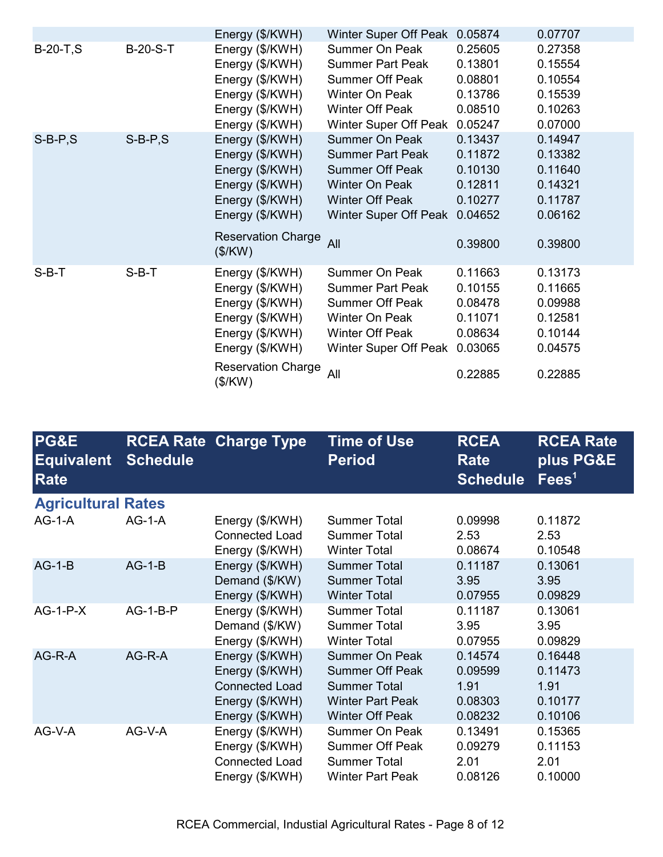|             |                 | Energy (\$/KWH)                                                                                                                                        | Winter Super Off Peak                                                                                                                                  | 0.05874                                                                   | 0.07707                                                                   |
|-------------|-----------------|--------------------------------------------------------------------------------------------------------------------------------------------------------|--------------------------------------------------------------------------------------------------------------------------------------------------------|---------------------------------------------------------------------------|---------------------------------------------------------------------------|
| $B-20-T, S$ | <b>B-20-S-T</b> | Energy (\$/KWH)<br>Energy (\$/KWH)<br>Energy (\$/KWH)<br>Energy (\$/KWH)<br>Energy (\$/KWH)<br>Energy (\$/KWH)                                         | <b>Summer On Peak</b><br><b>Summer Part Peak</b><br><b>Summer Off Peak</b><br>Winter On Peak<br>Winter Off Peak<br>Winter Super Off Peak               | 0.25605<br>0.13801<br>0.08801<br>0.13786<br>0.08510<br>0.05247            | 0.27358<br>0.15554<br>0.10554<br>0.15539<br>0.10263<br>0.07000            |
| $S-B-P,S$   | $S-B-P,S$       | Energy (\$/KWH)<br>Energy (\$/KWH)<br>Energy (\$/KWH)<br>Energy (\$/KWH)<br>Energy (\$/KWH)<br>Energy (\$/KWH)<br><b>Reservation Charge</b><br>(\$/KW) | <b>Summer On Peak</b><br><b>Summer Part Peak</b><br><b>Summer Off Peak</b><br>Winter On Peak<br><b>Winter Off Peak</b><br>Winter Super Off Peak<br>All | 0.13437<br>0.11872<br>0.10130<br>0.12811<br>0.10277<br>0.04652<br>0.39800 | 0.14947<br>0.13382<br>0.11640<br>0.14321<br>0.11787<br>0.06162<br>0.39800 |
| $S-B-T$     | $S-B-T$         | Energy (\$/KWH)<br>Energy (\$/KWH)<br>Energy (\$/KWH)<br>Energy (\$/KWH)<br>Energy (\$/KWH)<br>Energy (\$/KWH)<br><b>Reservation Charge</b><br>(\$/KW) | Summer On Peak<br><b>Summer Part Peak</b><br><b>Summer Off Peak</b><br>Winter On Peak<br><b>Winter Off Peak</b><br>Winter Super Off Peak<br>All        | 0.11663<br>0.10155<br>0.08478<br>0.11071<br>0.08634<br>0.03065<br>0.22885 | 0.13173<br>0.11665<br>0.09988<br>0.12581<br>0.10144<br>0.04575<br>0.22885 |

| PG&E<br><b>Equivalent</b><br><b>Rate</b> | <b>Schedule</b> | <b>RCEA Rate Charge Type</b>                                                                      | <b>Time of Use</b><br><b>Period</b>                                                                                         | <b>RCEA</b><br><b>Rate</b><br><b>Schedule</b>    | <b>RCEA Rate</b><br>plus PG&E<br>Fees <sup>1</sup> |
|------------------------------------------|-----------------|---------------------------------------------------------------------------------------------------|-----------------------------------------------------------------------------------------------------------------------------|--------------------------------------------------|----------------------------------------------------|
| <b>Agricultural Rates</b>                |                 |                                                                                                   |                                                                                                                             |                                                  |                                                    |
| $AG-1-A$                                 | $AG-1-A$        | Energy (\$/KWH)<br><b>Connected Load</b><br>Energy (\$/KWH)                                       | <b>Summer Total</b><br><b>Summer Total</b><br><b>Winter Total</b>                                                           | 0.09998<br>2.53<br>0.08674                       | 0.11872<br>2.53<br>0.10548                         |
| $AG-1-B$                                 | $AG-1-B$        | Energy (\$/KWH)<br>Demand (\$/KW)<br>Energy (\$/KWH)                                              | <b>Summer Total</b><br><b>Summer Total</b><br><b>Winter Total</b>                                                           | 0.11187<br>3.95<br>0.07955                       | 0.13061<br>3.95<br>0.09829                         |
| $AG-1-P-X$                               | $AG-1-B-P$      | Energy (\$/KWH)<br>Demand (\$/KW)<br>Energy (\$/KWH)                                              | <b>Summer Total</b><br><b>Summer Total</b><br><b>Winter Total</b>                                                           | 0.11187<br>3.95<br>0.07955                       | 0.13061<br>3.95<br>0.09829                         |
| AG-R-A                                   | AG-R-A          | Energy (\$/KWH)<br>Energy (\$/KWH)<br><b>Connected Load</b><br>Energy (\$/KWH)<br>Energy (\$/KWH) | <b>Summer On Peak</b><br><b>Summer Off Peak</b><br><b>Summer Total</b><br><b>Winter Part Peak</b><br><b>Winter Off Peak</b> | 0.14574<br>0.09599<br>1.91<br>0.08303<br>0.08232 | 0.16448<br>0.11473<br>1.91<br>0.10177<br>0.10106   |
| AG-V-A                                   | AG-V-A          | Energy (\$/KWH)<br>Energy (\$/KWH)<br><b>Connected Load</b><br>Energy (\$/KWH)                    | Summer On Peak<br><b>Summer Off Peak</b><br><b>Summer Total</b><br><b>Winter Part Peak</b>                                  | 0.13491<br>0.09279<br>2.01<br>0.08126            | 0.15365<br>0.11153<br>2.01<br>0.10000              |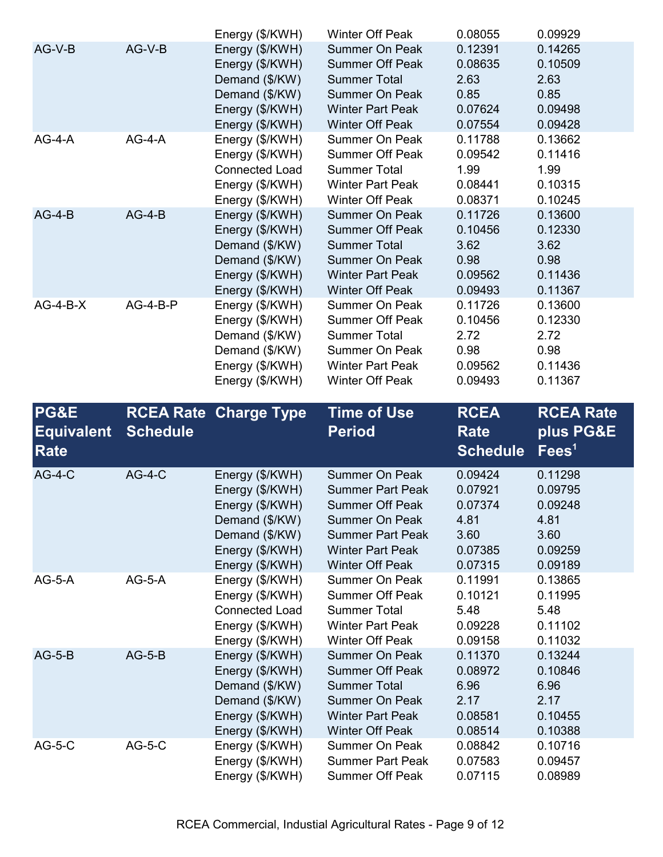|            |          | Energy (\$/KWH)       | Winter Off Peak         | 0.08055 | 0.09929 |
|------------|----------|-----------------------|-------------------------|---------|---------|
| AG-V-B     | AG-V-B   | Energy (\$/KWH)       | <b>Summer On Peak</b>   | 0.12391 | 0.14265 |
|            |          | Energy (\$/KWH)       | <b>Summer Off Peak</b>  | 0.08635 | 0.10509 |
|            |          | Demand (\$/KW)        | <b>Summer Total</b>     | 2.63    | 2.63    |
|            |          | Demand (\$/KW)        | <b>Summer On Peak</b>   | 0.85    | 0.85    |
|            |          | Energy (\$/KWH)       | <b>Winter Part Peak</b> | 0.07624 | 0.09498 |
|            |          | Energy (\$/KWH)       | Winter Off Peak         | 0.07554 | 0.09428 |
| $AG-4-A$   | $AG-4-A$ | Energy (\$/KWH)       | Summer On Peak          | 0.11788 | 0.13662 |
|            |          | Energy (\$/KWH)       | <b>Summer Off Peak</b>  | 0.09542 | 0.11416 |
|            |          | <b>Connected Load</b> | <b>Summer Total</b>     | 1.99    | 1.99    |
|            |          | Energy (\$/KWH)       | <b>Winter Part Peak</b> | 0.08441 | 0.10315 |
|            |          | Energy (\$/KWH)       | <b>Winter Off Peak</b>  | 0.08371 | 0.10245 |
| $AG-4-B$   | $AG-4-B$ | Energy (\$/KWH)       | <b>Summer On Peak</b>   | 0.11726 | 0.13600 |
|            |          | Energy (\$/KWH)       | <b>Summer Off Peak</b>  | 0.10456 | 0.12330 |
|            |          | Demand (\$/KW)        | <b>Summer Total</b>     | 3.62    | 3.62    |
|            |          | Demand (\$/KW)        | <b>Summer On Peak</b>   | 0.98    | 0.98    |
|            |          | Energy (\$/KWH)       | <b>Winter Part Peak</b> | 0.09562 | 0.11436 |
|            |          | Energy (\$/KWH)       | <b>Winter Off Peak</b>  | 0.09493 | 0.11367 |
| $AG-4-B-X$ | AG-4-B-P | Energy (\$/KWH)       | Summer On Peak          | 0.11726 | 0.13600 |
|            |          | Energy (\$/KWH)       | <b>Summer Off Peak</b>  | 0.10456 | 0.12330 |
|            |          | Demand (\$/KW)        | <b>Summer Total</b>     | 2.72    | 2.72    |
|            |          | Demand (\$/KW)        | Summer On Peak          | 0.98    | 0.98    |
|            |          | Energy (\$/KWH)       | <b>Winter Part Peak</b> | 0.09562 | 0.11436 |
|            |          | Energy (\$/KWH)       | <b>Winter Off Peak</b>  | 0.09493 | 0.11367 |

| <b>PG&amp;E</b><br><b>Equivalent</b><br>Rate | <b>Schedule</b> | <b>RCEA Rate Charge Type</b>                                                                                                    | <b>Time of Use</b><br><b>Period</b>                                                                                                                                          | <b>RCEA</b><br><b>Rate</b><br><b>Schedule</b>                       | <b>RCEA Rate</b><br>plus PG&E<br>Fees <sup>1</sup>                  |
|----------------------------------------------|-----------------|---------------------------------------------------------------------------------------------------------------------------------|------------------------------------------------------------------------------------------------------------------------------------------------------------------------------|---------------------------------------------------------------------|---------------------------------------------------------------------|
| $AG-4-C$                                     | $AG-4-C$        | Energy (\$/KWH)<br>Energy (\$/KWH)<br>Energy (\$/KWH)<br>Demand (\$/KW)<br>Demand (\$/KW)<br>Energy (\$/KWH)<br>Energy (\$/KWH) | Summer On Peak<br><b>Summer Part Peak</b><br><b>Summer Off Peak</b><br><b>Summer On Peak</b><br><b>Summer Part Peak</b><br><b>Winter Part Peak</b><br><b>Winter Off Peak</b> | 0.09424<br>0.07921<br>0.07374<br>4.81<br>3.60<br>0.07385<br>0.07315 | 0.11298<br>0.09795<br>0.09248<br>4.81<br>3.60<br>0.09259<br>0.09189 |
| $AG-5-A$                                     | $AG-5-A$        | Energy (\$/KWH)<br>Energy (\$/KWH)<br><b>Connected Load</b><br>Energy (\$/KWH)<br>Energy (\$/KWH)                               | Summer On Peak<br><b>Summer Off Peak</b><br><b>Summer Total</b><br><b>Winter Part Peak</b><br><b>Winter Off Peak</b>                                                         | 0.11991<br>0.10121<br>5.48<br>0.09228<br>0.09158                    | 0.13865<br>0.11995<br>5.48<br>0.11102<br>0.11032                    |
| $AG-5-B$                                     | $AG-5-B$        | Energy (\$/KWH)<br>Energy (\$/KWH)<br>Demand (\$/KW)<br>Demand (\$/KW)<br>Energy (\$/KWH)<br>Energy (\$/KWH)                    | <b>Summer On Peak</b><br><b>Summer Off Peak</b><br><b>Summer Total</b><br><b>Summer On Peak</b><br><b>Winter Part Peak</b><br><b>Winter Off Peak</b>                         | 0.11370<br>0.08972<br>6.96<br>2.17<br>0.08581<br>0.08514            | 0.13244<br>0.10846<br>6.96<br>2.17<br>0.10455<br>0.10388            |
| $AG-5-C$                                     | $AG-5-C$        | Energy (\$/KWH)<br>Energy (\$/KWH)<br>Energy (\$/KWH)                                                                           | Summer On Peak<br><b>Summer Part Peak</b><br><b>Summer Off Peak</b>                                                                                                          | 0.08842<br>0.07583<br>0.07115                                       | 0.10716<br>0.09457<br>0.08989                                       |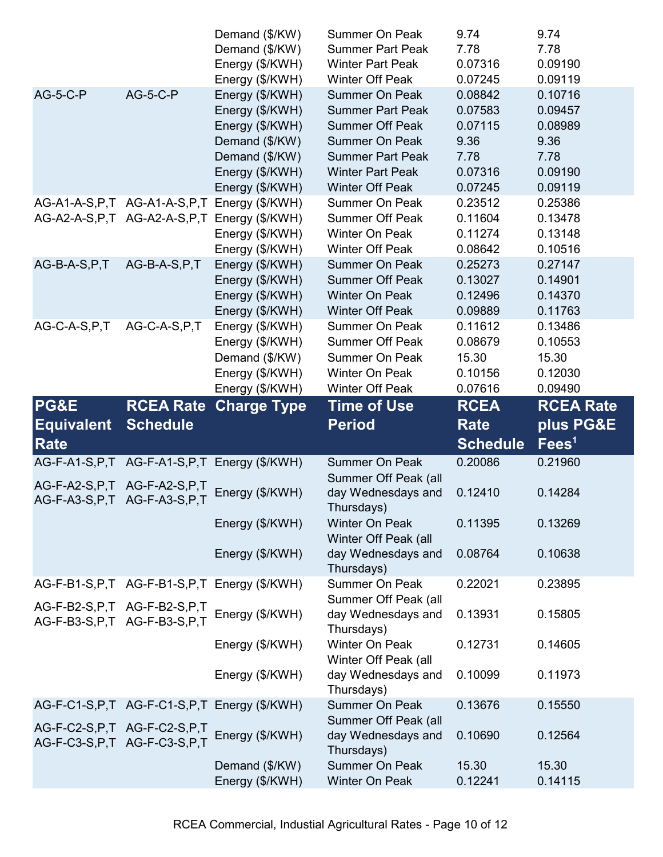|                                 |                                 | Demand (\$/KW)                                  | Summer On Peak                   | 9.74             | 9.74             |
|---------------------------------|---------------------------------|-------------------------------------------------|----------------------------------|------------------|------------------|
|                                 |                                 | Demand (\$/KW)                                  | <b>Summer Part Peak</b>          | 7.78             | 7.78             |
|                                 |                                 | Energy (\$/KWH)                                 | <b>Winter Part Peak</b>          | 0.07316          | 0.09190          |
|                                 |                                 | Energy (\$/KWH)                                 | <b>Winter Off Peak</b>           | 0.07245          | 0.09119          |
| <b>AG-5-C-P</b>                 | <b>AG-5-C-P</b>                 | Energy (\$/KWH)                                 | <b>Summer On Peak</b>            | 0.08842          | 0.10716          |
|                                 |                                 | Energy (\$/KWH)                                 | <b>Summer Part Peak</b>          | 0.07583          | 0.09457          |
|                                 |                                 | Energy (\$/KWH)                                 | <b>Summer Off Peak</b>           | 0.07115          | 0.08989          |
|                                 |                                 | Demand (\$/KW)                                  | <b>Summer On Peak</b>            | 9.36             | 9.36             |
|                                 |                                 | Demand (\$/KW)                                  | <b>Summer Part Peak</b>          | 7.78             | 7.78             |
|                                 |                                 | Energy (\$/KWH)                                 | <b>Winter Part Peak</b>          | 0.07316          | 0.09190          |
|                                 |                                 | Energy (\$/KWH)                                 | <b>Winter Off Peak</b>           | 0.07245          | 0.09119          |
|                                 | AG-A1-A-S, P, T AG-A1-A-S, P, T | Energy (\$/KWH)                                 | Summer On Peak                   | 0.23512          | 0.25386          |
|                                 | AG-A2-A-S, P, T AG-A2-A-S, P, T | Energy (\$/KWH)                                 | <b>Summer Off Peak</b>           | 0.11604          | 0.13478          |
|                                 |                                 | Energy (\$/KWH)                                 | Winter On Peak                   | 0.11274          | 0.13148          |
|                                 |                                 | Energy (\$/KWH)                                 | <b>Winter Off Peak</b>           | 0.08642          | 0.10516          |
| AG-B-A-S, P, T                  | AG-B-A-S,P,T                    | Energy (\$/KWH)                                 | <b>Summer On Peak</b>            | 0.25273          | 0.27147          |
|                                 |                                 | Energy (\$/KWH)                                 | <b>Summer Off Peak</b>           | 0.13027          | 0.14901          |
|                                 |                                 | Energy (\$/KWH)                                 | <b>Winter On Peak</b>            | 0.12496          | 0.14370          |
|                                 |                                 | Energy (\$/KWH)                                 | <b>Winter Off Peak</b>           | 0.09889          | 0.11763          |
| AG-C-A-S, P, T                  | AG-C-A-S,P,T                    | Energy (\$/KWH)                                 | Summer On Peak                   | 0.11612          | 0.13486          |
|                                 |                                 | Energy (\$/KWH)                                 | <b>Summer Off Peak</b>           | 0.08679          | 0.10553          |
|                                 |                                 | Demand (\$/KW)                                  | Summer On Peak                   | 15.30            | 15.30            |
|                                 |                                 | Energy (\$/KWH)                                 | Winter On Peak                   | 0.10156          | 0.12030          |
|                                 |                                 | Energy (\$/KWH)                                 | Winter Off Peak                  | 0.07616          | 0.09490          |
| PG&E                            | <b>RCEA Rate</b>                |                                                 | <b>Time of Use</b>               | <b>RCEA</b>      | <b>RCEA Rate</b> |
|                                 |                                 | <b>Charge Type</b>                              |                                  |                  |                  |
|                                 |                                 |                                                 |                                  |                  |                  |
| <b>Equivalent</b>               | <b>Schedule</b>                 |                                                 | <b>Period</b>                    | <b>Rate</b>      | plus PG&E        |
| Rate                            |                                 |                                                 |                                  | <b>Schedule</b>  | $\text{Fees}^1$  |
|                                 |                                 | AG-F-A1-S, P, T AG-F-A1-S, P, T Energy (\$/KWH) | <b>Summer On Peak</b>            | 0.20086          | 0.21960          |
| AG-F-A2-S, P, T AG-F-A2-S, P, T |                                 |                                                 | Summer Off Peak (all             |                  |                  |
| AG-F-A3-S, P, T AG-F-A3-S, P, T |                                 | Energy (\$/KWH)                                 | day Wednesdays and               | 0.12410          | 0.14284          |
|                                 |                                 |                                                 | Thursdays)                       |                  |                  |
|                                 |                                 | Energy (\$/KWH)                                 | <b>Winter On Peak</b>            | 0.11395          | 0.13269          |
|                                 |                                 |                                                 | Winter Off Peak (all             |                  |                  |
|                                 |                                 | Energy (\$/KWH)                                 | day Wednesdays and               | 0.08764          | 0.10638          |
|                                 |                                 |                                                 | Thursdays)<br>Summer On Peak     | 0.22021          | 0.23895          |
|                                 |                                 | AG-F-B1-S, P, T AG-F-B1-S, P, T Energy (\$/KWH) | Summer Off Peak (all             |                  |                  |
| AG-F-B2-S, P, T AG-F-B2-S, P, T |                                 |                                                 | day Wednesdays and               | 0.13931          | 0.15805          |
| AG-F-B3-S, P, T AG-F-B3-S, P, T |                                 | Energy (\$/KWH)                                 | Thursdays)                       |                  |                  |
|                                 |                                 | Energy (\$/KWH)                                 | Winter On Peak                   | 0.12731          | 0.14605          |
|                                 |                                 |                                                 | Winter Off Peak (all             |                  |                  |
|                                 |                                 | Energy (\$/KWH)                                 | day Wednesdays and               | 0.10099          | 0.11973          |
|                                 |                                 |                                                 | Thursdays)                       |                  |                  |
|                                 |                                 | AG-F-C1-S, P, T AG-F-C1-S, P, T Energy (\$/KWH) | <b>Summer On Peak</b>            | 0.13676          | 0.15550          |
|                                 |                                 |                                                 | Summer Off Peak (all             |                  |                  |
| AG-F-C2-S, P, T AG-F-C2-S, P, T |                                 | Energy (\$/KWH)                                 | day Wednesdays and               | 0.10690          | 0.12564          |
| AG-F-C3-S, P, T AG-F-C3-S, P, T |                                 |                                                 | Thursdays)                       |                  |                  |
|                                 |                                 | Demand (\$/KW)<br>Energy (\$/KWH)               | Summer On Peak<br>Winter On Peak | 15.30<br>0.12241 | 15.30<br>0.14115 |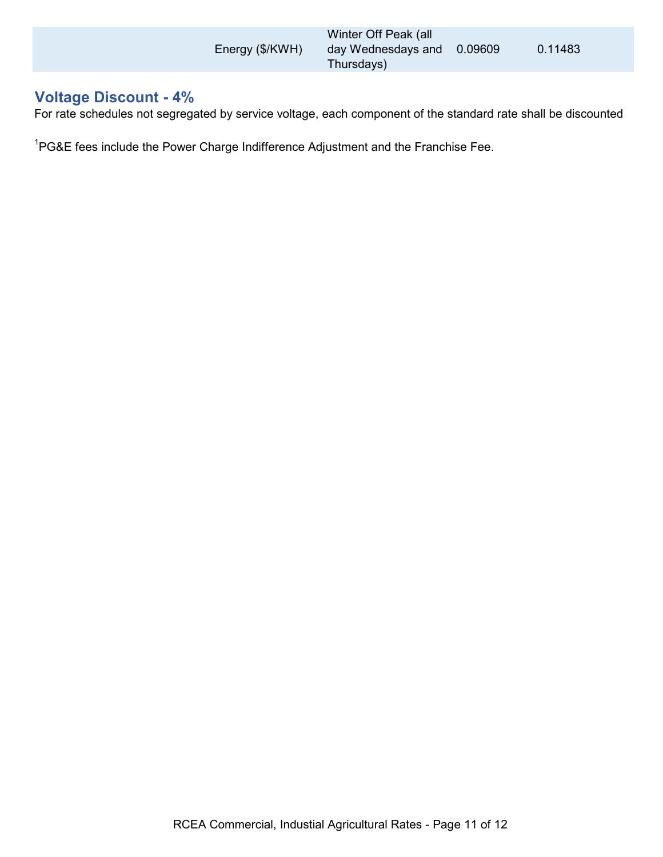| Energy (\$/KWH) | Winter Off Peak (all<br>day Wednesdays and 0.09609<br>Thursdays) | 0.11483 |
|-----------------|------------------------------------------------------------------|---------|
|                 |                                                                  |         |

## **Voltage Discount - 4%**

For rate schedules not segregated by service voltage, each component of the standard rate shall be discounted

 $^{1}$ PG&E fees include the Power Charge Indifference Adjustment and the Franchise Fee.